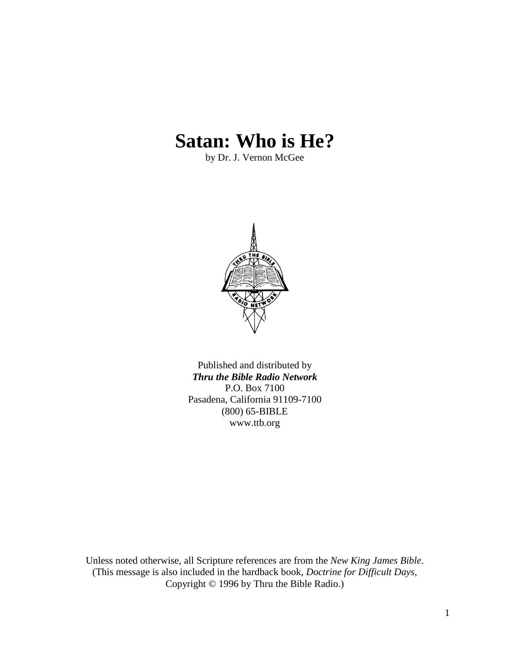# **Satan: Who is He?**

by Dr. J. Vernon McGee



Published and distributed by *Thru the Bible Radio Network* P.O. Box 7100 Pasadena, California 91109-7100 (800) 65-BIBLE www.ttb.org

Unless noted otherwise, all Scripture references are from the *New King James Bible*. (This message is also included in the hardback book, *Doctrine for Difficult Days*, Copyright © 1996 by Thru the Bible Radio.)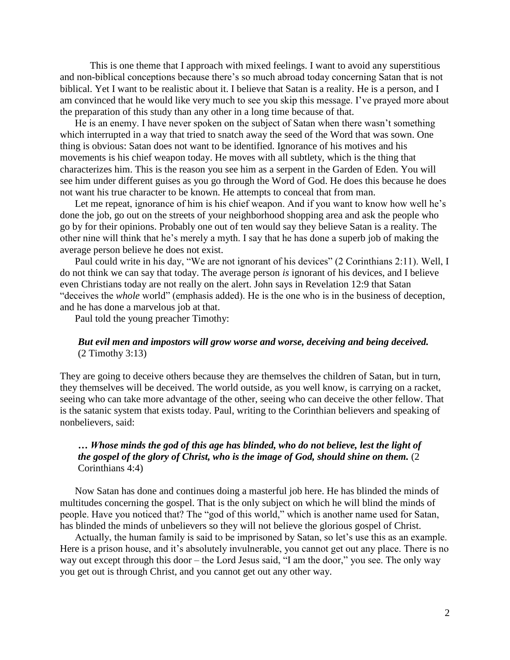This is one theme that I approach with mixed feelings. I want to avoid any superstitious and non-biblical conceptions because there's so much abroad today concerning Satan that is not biblical. Yet I want to be realistic about it. I believe that Satan is a reality. He is a person, and I am convinced that he would like very much to see you skip this message. I've prayed more about the preparation of this study than any other in a long time because of that.

He is an enemy. I have never spoken on the subject of Satan when there wasn't something which interrupted in a way that tried to snatch away the seed of the Word that was sown. One thing is obvious: Satan does not want to be identified. Ignorance of his motives and his movements is his chief weapon today. He moves with all subtlety, which is the thing that characterizes him. This is the reason you see him as a serpent in the Garden of Eden. You will see him under different guises as you go through the Word of God. He does this because he does not want his true character to be known. He attempts to conceal that from man.

Let me repeat, ignorance of him is his chief weapon. And if you want to know how well he's done the job, go out on the streets of your neighborhood shopping area and ask the people who go by for their opinions. Probably one out of ten would say they believe Satan is a reality. The other nine will think that he's merely a myth. I say that he has done a superb job of making the average person believe he does not exist.

Paul could write in his day, "We are not ignorant of his devices" (2 Corinthians 2:11). Well, I do not think we can say that today. The average person *is* ignorant of his devices, and I believe even Christians today are not really on the alert. John says in Revelation 12:9 that Satan "deceives the *whole* world" (emphasis added). He is the one who is in the business of deception, and he has done a marvelous job at that.

Paul told the young preacher Timothy:

# *But evil men and impostors will grow worse and worse, deceiving and being deceived.* (2 Timothy 3:13)

They are going to deceive others because they are themselves the children of Satan, but in turn, they themselves will be deceived. The world outside, as you well know, is carrying on a racket, seeing who can take more advantage of the other, seeing who can deceive the other fellow. That is the satanic system that exists today. Paul, writing to the Corinthian believers and speaking of nonbelievers, said:

# *… Whose minds the god of this age has blinded, who do not believe, lest the light of the gospel of the glory of Christ, who is the image of God, should shine on them.* (2 Corinthians 4:4)

Now Satan has done and continues doing a masterful job here. He has blinded the minds of multitudes concerning the gospel. That is the only subject on which he will blind the minds of people. Have you noticed that? The "god of this world," which is another name used for Satan, has blinded the minds of unbelievers so they will not believe the glorious gospel of Christ.

Actually, the human family is said to be imprisoned by Satan, so let's use this as an example. Here is a prison house, and it's absolutely invulnerable, you cannot get out any place. There is no way out except through this door – the Lord Jesus said, "I am the door," you see. The only way you get out is through Christ, and you cannot get out any other way.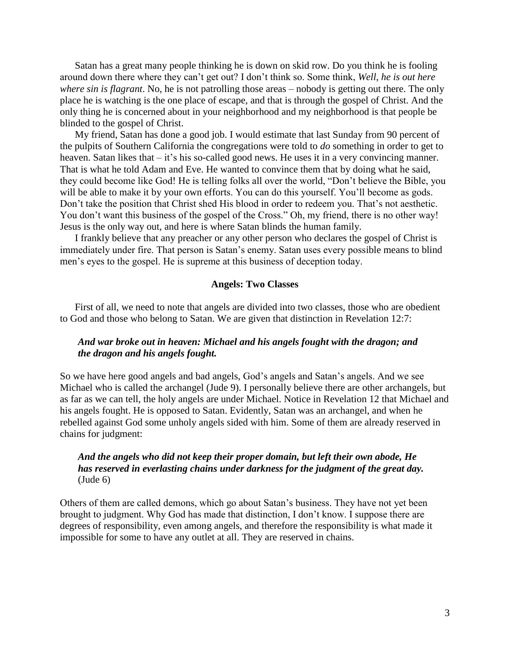Satan has a great many people thinking he is down on skid row. Do you think he is fooling around down there where they can't get out? I don't think so. Some think, *Well, he is out here where sin is flagrant*. No, he is not patrolling those areas – nobody is getting out there. The only place he is watching is the one place of escape, and that is through the gospel of Christ. And the only thing he is concerned about in your neighborhood and my neighborhood is that people be blinded to the gospel of Christ.

My friend, Satan has done a good job. I would estimate that last Sunday from 90 percent of the pulpits of Southern California the congregations were told to *do* something in order to get to heaven. Satan likes that – it's his so-called good news. He uses it in a very convincing manner. That is what he told Adam and Eve. He wanted to convince them that by doing what he said, they could become like God! He is telling folks all over the world, "Don't believe the Bible, you will be able to make it by your own efforts. You can do this yourself. You'll become as gods. Don't take the position that Christ shed His blood in order to redeem you. That's not aesthetic. You don't want this business of the gospel of the Cross." Oh, my friend, there is no other way! Jesus is the only way out, and here is where Satan blinds the human family.

I frankly believe that any preacher or any other person who declares the gospel of Christ is immediately under fire. That person is Satan's enemy. Satan uses every possible means to blind men's eyes to the gospel. He is supreme at this business of deception today.

#### **Angels: Two Classes**

First of all, we need to note that angels are divided into two classes, those who are obedient to God and those who belong to Satan. We are given that distinction in Revelation 12:7:

# *And war broke out in heaven: Michael and his angels fought with the dragon; and the dragon and his angels fought.*

So we have here good angels and bad angels, God's angels and Satan's angels. And we see Michael who is called the archangel (Jude 9). I personally believe there are other archangels, but as far as we can tell, the holy angels are under Michael. Notice in Revelation 12 that Michael and his angels fought. He is opposed to Satan. Evidently, Satan was an archangel, and when he rebelled against God some unholy angels sided with him. Some of them are already reserved in chains for judgment:

# *And the angels who did not keep their proper domain, but left their own abode, He has reserved in everlasting chains under darkness for the judgment of the great day.* (Jude 6)

Others of them are called demons, which go about Satan's business. They have not yet been brought to judgment. Why God has made that distinction, I don't know. I suppose there are degrees of responsibility, even among angels, and therefore the responsibility is what made it impossible for some to have any outlet at all. They are reserved in chains.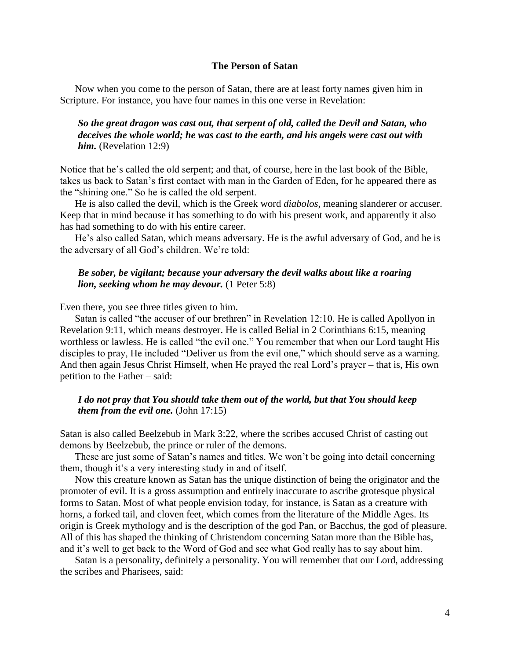#### **The Person of Satan**

Now when you come to the person of Satan, there are at least forty names given him in Scripture. For instance, you have four names in this one verse in Revelation:

*So the great dragon was cast out, that serpent of old, called the Devil and Satan, who deceives the whole world; he was cast to the earth, and his angels were cast out with him.* (Revelation 12:9)

Notice that he's called the old serpent; and that, of course, here in the last book of the Bible, takes us back to Satan's first contact with man in the Garden of Eden, for he appeared there as the "shining one." So he is called the old serpent.

He is also called the devil, which is the Greek word *diabolos*, meaning slanderer or accuser. Keep that in mind because it has something to do with his present work, and apparently it also has had something to do with his entire career.

He's also called Satan, which means adversary. He is the awful adversary of God, and he is the adversary of all God's children. We're told:

## *Be sober, be vigilant; because your adversary the devil walks about like a roaring lion, seeking whom he may devour.* (1 Peter 5:8)

Even there, you see three titles given to him.

Satan is called "the accuser of our brethren" in Revelation 12:10. He is called Apollyon in Revelation 9:11, which means destroyer. He is called Belial in 2 Corinthians 6:15, meaning worthless or lawless. He is called "the evil one." You remember that when our Lord taught His disciples to pray, He included "Deliver us from the evil one," which should serve as a warning. And then again Jesus Christ Himself, when He prayed the real Lord's prayer – that is, His own petition to the Father – said:

# *I do not pray that You should take them out of the world, but that You should keep them from the evil one.* (John 17:15)

Satan is also called Beelzebub in Mark 3:22, where the scribes accused Christ of casting out demons by Beelzebub, the prince or ruler of the demons.

These are just some of Satan's names and titles. We won't be going into detail concerning them, though it's a very interesting study in and of itself.

Now this creature known as Satan has the unique distinction of being the originator and the promoter of evil. It is a gross assumption and entirely inaccurate to ascribe grotesque physical forms to Satan. Most of what people envision today, for instance, is Satan as a creature with horns, a forked tail, and cloven feet, which comes from the literature of the Middle Ages. Its origin is Greek mythology and is the description of the god Pan, or Bacchus, the god of pleasure. All of this has shaped the thinking of Christendom concerning Satan more than the Bible has, and it's well to get back to the Word of God and see what God really has to say about him.

Satan is a personality, definitely a personality. You will remember that our Lord, addressing the scribes and Pharisees, said: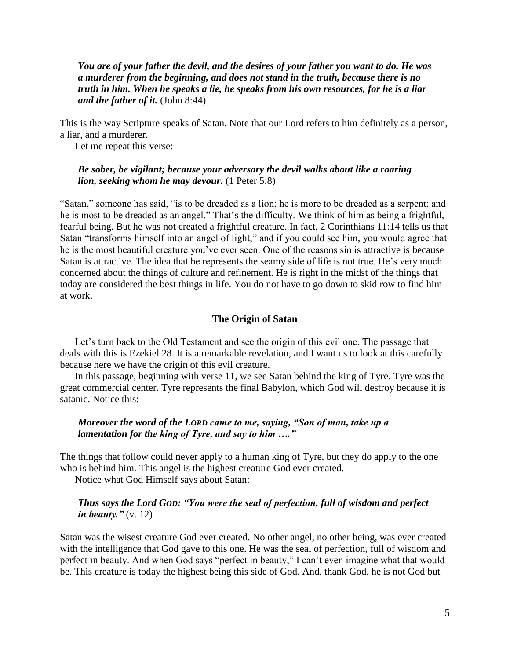*You are of your father the devil, and the desires of your father you want to do. He was a murderer from the beginning, and does not stand in the truth, because there is no truth in him. When he speaks a lie, he speaks from his own resources, for he is a liar and the father of it.* (John 8:44)

This is the way Scripture speaks of Satan. Note that our Lord refers to him definitely as a person, a liar, and a murderer.

Let me repeat this verse:

#### *Be sober, be vigilant; because your adversary the devil walks about like a roaring lion, seeking whom he may devour.* (1 Peter 5:8)

"Satan," someone has said, "is to be dreaded as a lion; he is more to be dreaded as a serpent; and he is most to be dreaded as an angel." That's the difficulty. We think of him as being a frightful, fearful being. But he was not created a frightful creature. In fact, 2 Corinthians 11:14 tells us that Satan "transforms himself into an angel of light," and if you could see him, you would agree that he is the most beautiful creature you've ever seen. One of the reasons sin is attractive is because Satan is attractive. The idea that he represents the seamy side of life is not true. He's very much concerned about the things of culture and refinement. He is right in the midst of the things that today are considered the best things in life. You do not have to go down to skid row to find him at work.

#### **The Origin of Satan**

Let's turn back to the Old Testament and see the origin of this evil one. The passage that deals with this is Ezekiel 28. It is a remarkable revelation, and I want us to look at this carefully because here we have the origin of this evil creature.

In this passage, beginning with verse 11, we see Satan behind the king of Tyre. Tyre was the great commercial center. Tyre represents the final Babylon, which God will destroy because it is satanic. Notice this:

# *Moreover the word of the LORD came to me, saying, "Son of man, take up a lamentation for the king of Tyre, and say to him …."*

The things that follow could never apply to a human king of Tyre, but they do apply to the one who is behind him. This angel is the highest creature God ever created.

Notice what God Himself says about Satan:

# *Thus says the Lord GOD: "You were the seal of perfection, full of wisdom and perfect in beauty."* (v. 12)

Satan was the wisest creature God ever created. No other angel, no other being, was ever created with the intelligence that God gave to this one. He was the seal of perfection, full of wisdom and perfect in beauty. And when God says "perfect in beauty," I can't even imagine what that would be. This creature is today the highest being this side of God. And, thank God, he is not God but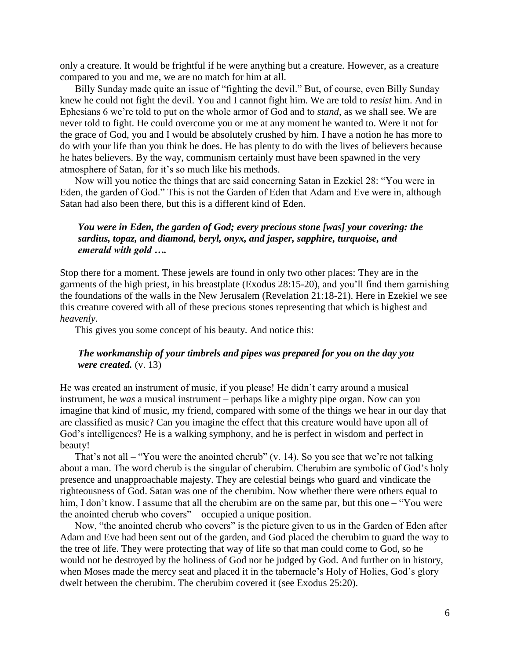only a creature. It would be frightful if he were anything but a creature. However, as a creature compared to you and me, we are no match for him at all.

Billy Sunday made quite an issue of "fighting the devil." But, of course, even Billy Sunday knew he could not fight the devil. You and I cannot fight him. We are told to *resist* him. And in Ephesians 6 we're told to put on the whole armor of God and to *stand*, as we shall see. We are never told to fight. He could overcome you or me at any moment he wanted to. Were it not for the grace of God, you and I would be absolutely crushed by him. I have a notion he has more to do with your life than you think he does. He has plenty to do with the lives of believers because he hates believers. By the way, communism certainly must have been spawned in the very atmosphere of Satan, for it's so much like his methods.

Now will you notice the things that are said concerning Satan in Ezekiel 28: "You were in Eden, the garden of God." This is not the Garden of Eden that Adam and Eve were in, although Satan had also been there, but this is a different kind of Eden.

# *You were in Eden, the garden of God; every precious stone [was] your covering: the sardius, topaz, and diamond, beryl, onyx, and jasper, sapphire, turquoise, and emerald with gold ….*

Stop there for a moment. These jewels are found in only two other places: They are in the garments of the high priest, in his breastplate (Exodus 28:15-20), and you'll find them garnishing the foundations of the walls in the New Jerusalem (Revelation 21:18-21). Here in Ezekiel we see this creature covered with all of these precious stones representing that which is highest and *heavenly*.

This gives you some concept of his beauty. And notice this:

# *The workmanship of your timbrels and pipes was prepared for you on the day you were created.* (v. 13)

He was created an instrument of music, if you please! He didn't carry around a musical instrument, he *was* a musical instrument – perhaps like a mighty pipe organ. Now can you imagine that kind of music, my friend, compared with some of the things we hear in our day that are classified as music? Can you imagine the effect that this creature would have upon all of God's intelligences? He is a walking symphony, and he is perfect in wisdom and perfect in beauty!

That's not all – "You were the anointed cherub" (v. 14). So you see that we're not talking about a man. The word cherub is the singular of cherubim. Cherubim are symbolic of God's holy presence and unapproachable majesty. They are celestial beings who guard and vindicate the righteousness of God. Satan was one of the cherubim. Now whether there were others equal to him, I don't know. I assume that all the cherubim are on the same par, but this one – "You were the anointed cherub who covers" – occupied a unique position.

Now, "the anointed cherub who covers" is the picture given to us in the Garden of Eden after Adam and Eve had been sent out of the garden, and God placed the cherubim to guard the way to the tree of life. They were protecting that way of life so that man could come to God, so he would not be destroyed by the holiness of God nor be judged by God. And further on in history, when Moses made the mercy seat and placed it in the tabernacle's Holy of Holies, God's glory dwelt between the cherubim. The cherubim covered it (see Exodus 25:20).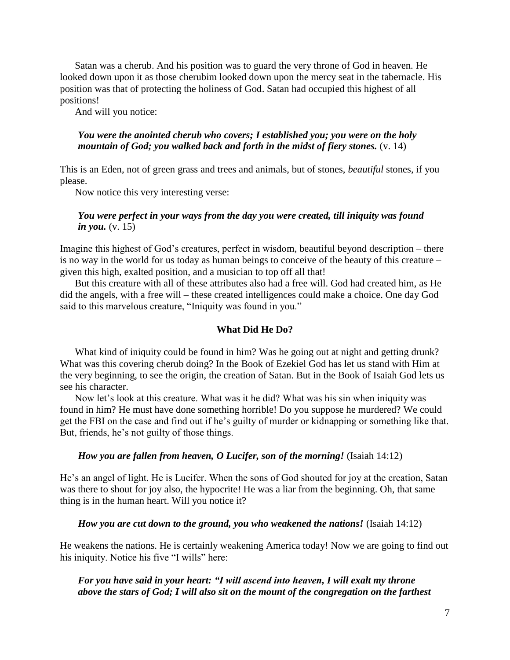Satan was a cherub. And his position was to guard the very throne of God in heaven. He looked down upon it as those cherubim looked down upon the mercy seat in the tabernacle. His position was that of protecting the holiness of God. Satan had occupied this highest of all positions!

And will you notice:

# *You were the anointed cherub who covers; I established you; you were on the holy mountain of God; you walked back and forth in the midst of fiery stones.* (v. 14)

This is an Eden, not of green grass and trees and animals, but of stones, *beautiful* stones, if you please.

Now notice this very interesting verse:

# *You were perfect in your ways from the day you were created, till iniquity was found in you.* (v. 15)

Imagine this highest of God's creatures, perfect in wisdom, beautiful beyond description – there is no way in the world for us today as human beings to conceive of the beauty of this creature – given this high, exalted position, and a musician to top off all that!

But this creature with all of these attributes also had a free will. God had created him, as He did the angels, with a free will – these created intelligences could make a choice. One day God said to this marvelous creature, "Iniquity was found in you."

### **What Did He Do?**

What kind of iniquity could be found in him? Was he going out at night and getting drunk? What was this covering cherub doing? In the Book of Ezekiel God has let us stand with Him at the very beginning, to see the origin, the creation of Satan. But in the Book of Isaiah God lets us see his character.

Now let's look at this creature. What was it he did? What was his sin when iniquity was found in him? He must have done something horrible! Do you suppose he murdered? We could get the FBI on the case and find out if he's guilty of murder or kidnapping or something like that. But, friends, he's not guilty of those things.

#### *How you are fallen from heaven, O Lucifer, son of the morning!* (Isaiah 14:12)

He's an angel of light. He is Lucifer. When the sons of God shouted for joy at the creation, Satan was there to shout for joy also, the hypocrite! He was a liar from the beginning. Oh, that same thing is in the human heart. Will you notice it?

#### *How you are cut down to the ground, you who weakened the nations!* (Isaiah 14:12)

He weakens the nations. He is certainly weakening America today! Now we are going to find out his iniquity. Notice his five "I wills" here:

# *For you have said in your heart: "I will ascend into heaven, I will exalt my throne above the stars of God; I will also sit on the mount of the congregation on the farthest*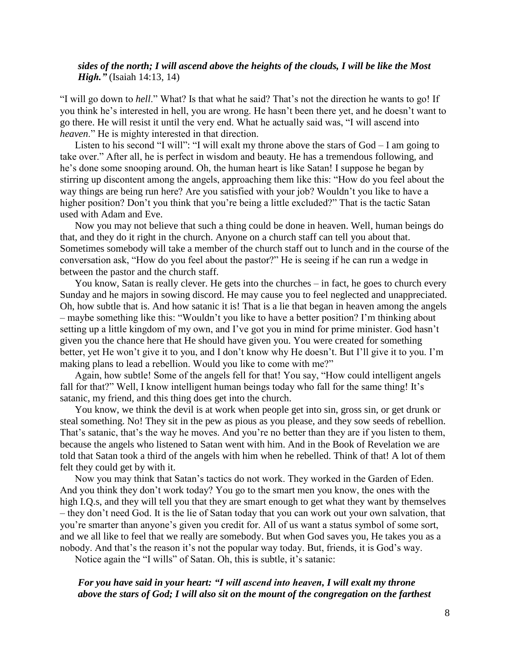## *sides of the north; I will ascend above the heights of the clouds, I will be like the Most High."* (Isaiah 14:13, 14)

"I will go down to *hell*." What? Is that what he said? That's not the direction he wants to go! If you think he's interested in hell, you are wrong. He hasn't been there yet, and he doesn't want to go there. He will resist it until the very end. What he actually said was, "I will ascend into *heaven*." He is mighty interested in that direction.

Listen to his second "I will": "I will exalt my throne above the stars of God – I am going to take over." After all, he is perfect in wisdom and beauty. He has a tremendous following, and he's done some snooping around. Oh, the human heart is like Satan! I suppose he began by stirring up discontent among the angels, approaching them like this: "How do you feel about the way things are being run here? Are you satisfied with your job? Wouldn't you like to have a higher position? Don't you think that you're being a little excluded?" That is the tactic Satan used with Adam and Eve.

Now you may not believe that such a thing could be done in heaven. Well, human beings do that, and they do it right in the church. Anyone on a church staff can tell you about that. Sometimes somebody will take a member of the church staff out to lunch and in the course of the conversation ask, "How do you feel about the pastor?" He is seeing if he can run a wedge in between the pastor and the church staff.

You know, Satan is really clever. He gets into the churches – in fact, he goes to church every Sunday and he majors in sowing discord. He may cause you to feel neglected and unappreciated. Oh, how subtle that is. And how satanic it is! That is a lie that began in heaven among the angels – maybe something like this: "Wouldn't you like to have a better position? I'm thinking about setting up a little kingdom of my own, and I've got you in mind for prime minister. God hasn't given you the chance here that He should have given you. You were created for something better, yet He won't give it to you, and I don't know why He doesn't. But I'll give it to you. I'm making plans to lead a rebellion. Would you like to come with me?"

Again, how subtle! Some of the angels fell for that! You say, "How could intelligent angels fall for that?" Well, I know intelligent human beings today who fall for the same thing! It's satanic, my friend, and this thing does get into the church.

You know, we think the devil is at work when people get into sin, gross sin, or get drunk or steal something. No! They sit in the pew as pious as you please, and they sow seeds of rebellion. That's satanic, that's the way he moves. And you're no better than they are if you listen to them, because the angels who listened to Satan went with him. And in the Book of Revelation we are told that Satan took a third of the angels with him when he rebelled. Think of that! A lot of them felt they could get by with it.

Now you may think that Satan's tactics do not work. They worked in the Garden of Eden. And you think they don't work today? You go to the smart men you know, the ones with the high I.Q.s, and they will tell you that they are smart enough to get what they want by themselves – they don't need God. It is the lie of Satan today that you can work out your own salvation, that you're smarter than anyone's given you credit for. All of us want a status symbol of some sort, and we all like to feel that we really are somebody. But when God saves you, He takes you as a nobody. And that's the reason it's not the popular way today. But, friends, it is God's way.

Notice again the "I wills" of Satan. Oh, this is subtle, it's satanic:

# *For you have said in your heart: "I will ascend into heaven, I will exalt my throne above the stars of God; I will also sit on the mount of the congregation on the farthest*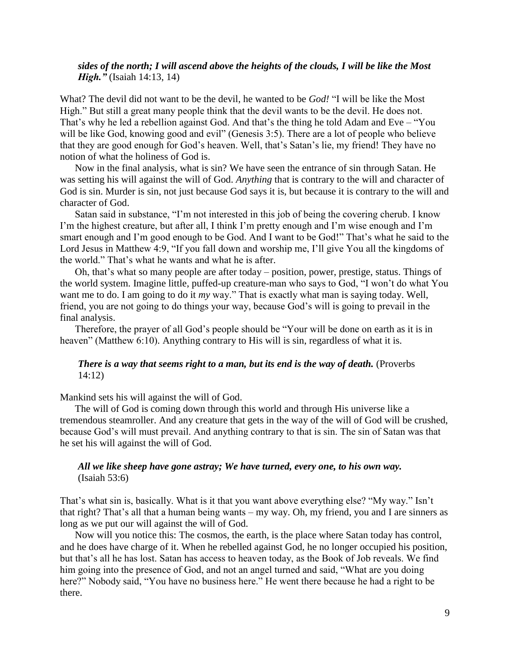# *sides of the north; I will ascend above the heights of the clouds, I will be like the Most High."* (Isaiah 14:13, 14)

What? The devil did not want to be the devil, he wanted to be *God!* "I will be like the Most High." But still a great many people think that the devil wants to be the devil. He does not. That's why he led a rebellion against God. And that's the thing he told Adam and Eve – "You will be like God, knowing good and evil" (Genesis 3:5). There are a lot of people who believe that they are good enough for God's heaven. Well, that's Satan's lie, my friend! They have no notion of what the holiness of God is.

Now in the final analysis, what is sin? We have seen the entrance of sin through Satan. He was setting his will against the will of God. *Anything* that is contrary to the will and character of God is sin. Murder is sin, not just because God says it is, but because it is contrary to the will and character of God.

Satan said in substance, "I'm not interested in this job of being the covering cherub. I know I'm the highest creature, but after all, I think I'm pretty enough and I'm wise enough and I'm smart enough and I'm good enough to be God. And I want to be God!" That's what he said to the Lord Jesus in Matthew 4:9, "If you fall down and worship me, I'll give You all the kingdoms of the world." That's what he wants and what he is after.

Oh, that's what so many people are after today – position, power, prestige, status. Things of the world system. Imagine little, puffed-up creature-man who says to God, "I won't do what You want me to do. I am going to do it *my* way." That is exactly what man is saying today. Well, friend, you are not going to do things your way, because God's will is going to prevail in the final analysis.

Therefore, the prayer of all God's people should be "Your will be done on earth as it is in heaven" (Matthew 6:10). Anything contrary to His will is sin, regardless of what it is.

# *There is a way that seems right to a man, but its end is the way of death.* (Proverbs 14:12)

Mankind sets his will against the will of God.

The will of God is coming down through this world and through His universe like a tremendous steamroller. And any creature that gets in the way of the will of God will be crushed, because God's will must prevail. And anything contrary to that is sin. The sin of Satan was that he set his will against the will of God.

### *All we like sheep have gone astray; We have turned, every one, to his own way.* (Isaiah 53:6)

That's what sin is, basically. What is it that you want above everything else? "My way." Isn't that right? That's all that a human being wants – my way. Oh, my friend, you and I are sinners as long as we put our will against the will of God.

Now will you notice this: The cosmos, the earth, is the place where Satan today has control, and he does have charge of it. When he rebelled against God, he no longer occupied his position, but that's all he has lost. Satan has access to heaven today, as the Book of Job reveals. We find him going into the presence of God, and not an angel turned and said, "What are you doing here?" Nobody said, "You have no business here." He went there because he had a right to be there.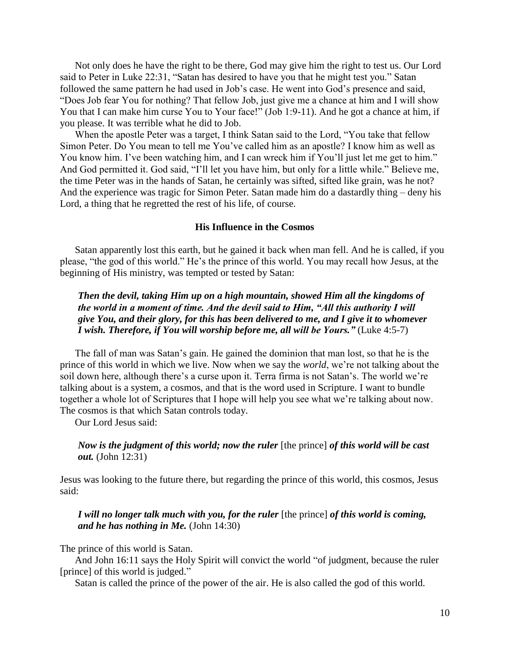Not only does he have the right to be there, God may give him the right to test us. Our Lord said to Peter in Luke 22:31, "Satan has desired to have you that he might test you." Satan followed the same pattern he had used in Job's case. He went into God's presence and said, "Does Job fear You for nothing? That fellow Job, just give me a chance at him and I will show You that I can make him curse You to Your face!" (Job 1:9-11). And he got a chance at him, if you please. It was terrible what he did to Job.

When the apostle Peter was a target, I think Satan said to the Lord, "You take that fellow Simon Peter. Do You mean to tell me You've called him as an apostle? I know him as well as You know him. I've been watching him, and I can wreck him if You'll just let me get to him." And God permitted it. God said, "I'll let you have him, but only for a little while." Believe me, the time Peter was in the hands of Satan, he certainly was sifted, sifted like grain, was he not? And the experience was tragic for Simon Peter. Satan made him do a dastardly thing – deny his Lord, a thing that he regretted the rest of his life, of course.

#### **His Influence in the Cosmos**

Satan apparently lost this earth, but he gained it back when man fell. And he is called, if you please, "the god of this world." He's the prince of this world. You may recall how Jesus, at the beginning of His ministry, was tempted or tested by Satan:

*Then the devil, taking Him up on a high mountain, showed Him all the kingdoms of the world in a moment of time. And the devil said to Him, "All this authority I will give You, and their glory, for this has been delivered to me, and I give it to whomever I wish. Therefore, if You will worship before me, all will be Yours."* (Luke 4:5-7)

The fall of man was Satan's gain. He gained the dominion that man lost, so that he is the prince of this world in which we live. Now when we say the *world*, we're not talking about the soil down here, although there's a curse upon it. Terra firma is not Satan's. The world we're talking about is a system, a cosmos, and that is the word used in Scripture. I want to bundle together a whole lot of Scriptures that I hope will help you see what we're talking about now. The cosmos is that which Satan controls today.

Our Lord Jesus said:

# *Now is the judgment of this world; now the ruler* [the prince] *of this world will be cast out.* (John 12:31)

Jesus was looking to the future there, but regarding the prince of this world, this cosmos, Jesus said:

## *I will no longer talk much with you, for the ruler* [the prince] *of this world is coming, and he has nothing in Me.* (John 14:30)

The prince of this world is Satan.

And John 16:11 says the Holy Spirit will convict the world "of judgment, because the ruler [prince] of this world is judged."

Satan is called the prince of the power of the air. He is also called the god of this world.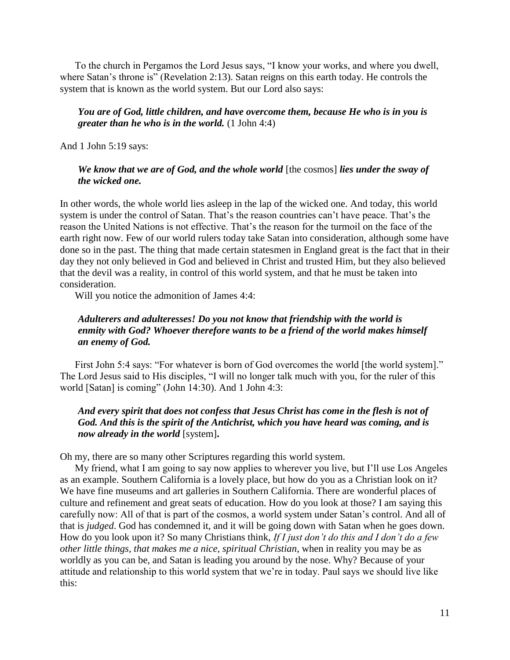To the church in Pergamos the Lord Jesus says, "I know your works, and where you dwell, where Satan's throne is" (Revelation 2:13). Satan reigns on this earth today. He controls the system that is known as the world system. But our Lord also says:

# *You are of God, little children, and have overcome them, because He who is in you is greater than he who is in the world.* (1 John 4:4)

And 1 John 5:19 says:

## *We know that we are of God, and the whole world* [the cosmos] *lies under the sway of the wicked one.*

In other words, the whole world lies asleep in the lap of the wicked one. And today, this world system is under the control of Satan. That's the reason countries can't have peace. That's the reason the United Nations is not effective. That's the reason for the turmoil on the face of the earth right now. Few of our world rulers today take Satan into consideration, although some have done so in the past. The thing that made certain statesmen in England great is the fact that in their day they not only believed in God and believed in Christ and trusted Him, but they also believed that the devil was a reality, in control of this world system, and that he must be taken into consideration.

Will you notice the admonition of James 4:4:

# *Adulterers and adulteresses! Do you not know that friendship with the world is enmity with God? Whoever therefore wants to be a friend of the world makes himself an enemy of God.*

First John 5:4 says: "For whatever is born of God overcomes the world [the world system]." The Lord Jesus said to His disciples, "I will no longer talk much with you, for the ruler of this world [Satan] is coming" (John 14:30). And 1 John 4:3:

# *And every spirit that does not confess that Jesus Christ has come in the flesh is not of God. And this is the spirit of the Antichrist, which you have heard was coming, and is now already in the world* [system]**.**

Oh my, there are so many other Scriptures regarding this world system.

My friend, what I am going to say now applies to wherever you live, but I'll use Los Angeles as an example. Southern California is a lovely place, but how do you as a Christian look on it? We have fine museums and art galleries in Southern California. There are wonderful places of culture and refinement and great seats of education. How do you look at those? I am saying this carefully now: All of that is part of the cosmos, a world system under Satan's control. And all of that is *judged*. God has condemned it, and it will be going down with Satan when he goes down. How do you look upon it? So many Christians think, *If I just don't do this and I don't do a few other little things, that makes me a nice, spiritual Christian*, when in reality you may be as worldly as you can be, and Satan is leading you around by the nose. Why? Because of your attitude and relationship to this world system that we're in today. Paul says we should live like this: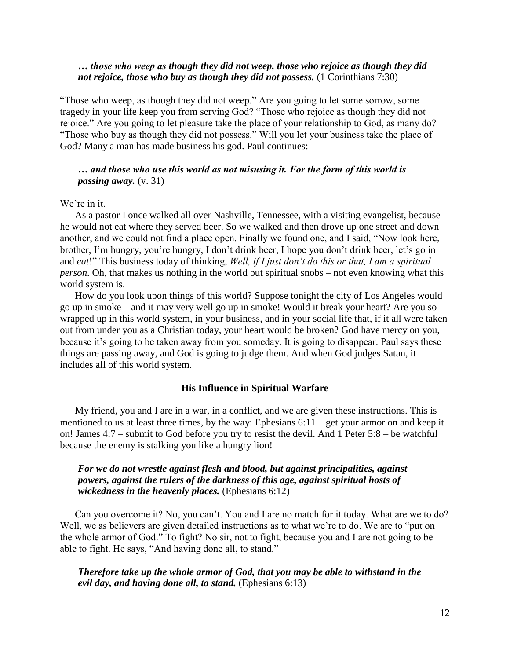# *… those who weep as though they did not weep, those who rejoice as though they did not rejoice, those who buy as though they did not possess.* (1 Corinthians 7:30)

"Those who weep, as though they did not weep." Are you going to let some sorrow, some tragedy in your life keep you from serving God? "Those who rejoice as though they did not rejoice." Are you going to let pleasure take the place of your relationship to God, as many do? "Those who buy as though they did not possess." Will you let your business take the place of God? Many a man has made business his god. Paul continues:

# *… and those who use this world as not misusing it. For the form of this world is passing away.* (v. 31)

### We're in it.

As a pastor I once walked all over Nashville, Tennessee, with a visiting evangelist, because he would not eat where they served beer. So we walked and then drove up one street and down another, and we could not find a place open. Finally we found one, and I said, "Now look here, brother, I'm hungry, you're hungry, I don't drink beer, I hope you don't drink beer, let's go in and *eat*!" This business today of thinking, *Well, if I just don't do this or that, I am a spiritual person*. Oh, that makes us nothing in the world but spiritual snobs – not even knowing what this world system is.

How do you look upon things of this world? Suppose tonight the city of Los Angeles would go up in smoke – and it may very well go up in smoke! Would it break your heart? Are you so wrapped up in this world system, in your business, and in your social life that, if it all were taken out from under you as a Christian today, your heart would be broken? God have mercy on you, because it's going to be taken away from you someday. It is going to disappear. Paul says these things are passing away, and God is going to judge them. And when God judges Satan, it includes all of this world system.

#### **His Influence in Spiritual Warfare**

My friend, you and I are in a war, in a conflict, and we are given these instructions. This is mentioned to us at least three times, by the way: Ephesians 6:11 – get your armor on and keep it on! James 4:7 – submit to God before you try to resist the devil. And 1 Peter 5:8 – be watchful because the enemy is stalking you like a hungry lion!

# *For we do not wrestle against flesh and blood, but against principalities, against powers, against the rulers of the darkness of this age, against spiritual hosts of wickedness in the heavenly places.* (Ephesians 6:12)

Can you overcome it? No, you can't. You and I are no match for it today. What are we to do? Well, we as believers are given detailed instructions as to what we're to do. We are to "put on the whole armor of God." To fight? No sir, not to fight, because you and I are not going to be able to fight. He says, "And having done all, to stand."

*Therefore take up the whole armor of God, that you may be able to withstand in the evil day, and having done all, to stand.* (Ephesians 6:13)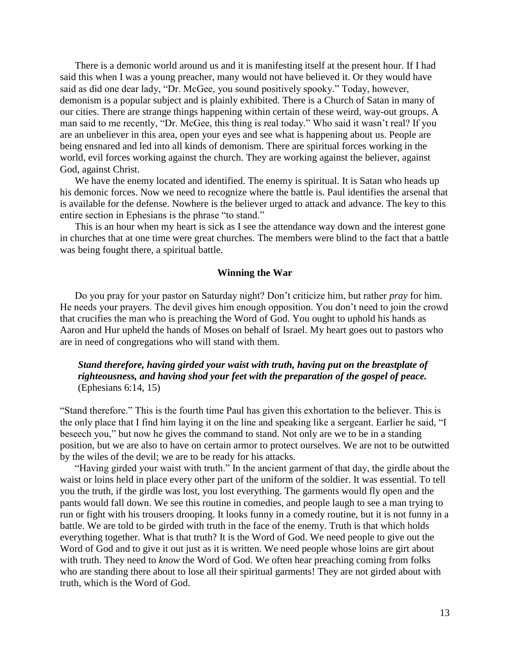There is a demonic world around us and it is manifesting itself at the present hour. If I had said this when I was a young preacher, many would not have believed it. Or they would have said as did one dear lady, "Dr. McGee, you sound positively spooky." Today, however, demonism is a popular subject and is plainly exhibited. There is a Church of Satan in many of our cities. There are strange things happening within certain of these weird, way-out groups. A man said to me recently, "Dr. McGee, this thing is real today." Who said it wasn't real? If you are an unbeliever in this area, open your eyes and see what is happening about us. People are being ensnared and led into all kinds of demonism. There are spiritual forces working in the world, evil forces working against the church. They are working against the believer, against God, against Christ.

We have the enemy located and identified. The enemy is spiritual. It is Satan who heads up his demonic forces. Now we need to recognize where the battle is. Paul identifies the arsenal that is available for the defense. Nowhere is the believer urged to attack and advance. The key to this entire section in Ephesians is the phrase "to stand."

This is an hour when my heart is sick as I see the attendance way down and the interest gone in churches that at one time were great churches. The members were blind to the fact that a battle was being fought there, a spiritual battle.

#### **Winning the War**

Do you pray for your pastor on Saturday night? Don't criticize him, but rather *pray* for him. He needs your prayers. The devil gives him enough opposition. You don't need to join the crowd that crucifies the man who is preaching the Word of God. You ought to uphold his hands as Aaron and Hur upheld the hands of Moses on behalf of Israel. My heart goes out to pastors who are in need of congregations who will stand with them.

# *Stand therefore, having girded your waist with truth, having put on the breastplate of righteousness, and having shod your feet with the preparation of the gospel of peace.* (Ephesians 6:14, 15)

"Stand therefore." This is the fourth time Paul has given this exhortation to the believer. This is the only place that I find him laying it on the line and speaking like a sergeant. Earlier he said, "I beseech you," but now he gives the command to stand. Not only are we to be in a standing position, but we are also to have on certain armor to protect ourselves. We are not to be outwitted by the wiles of the devil; we are to be ready for his attacks.

"Having girded your waist with truth." In the ancient garment of that day, the girdle about the waist or loins held in place every other part of the uniform of the soldier. It was essential. To tell you the truth, if the girdle was lost, you lost everything. The garments would fly open and the pants would fall down. We see this routine in comedies, and people laugh to see a man trying to run or fight with his trousers drooping. It looks funny in a comedy routine, but it is not funny in a battle. We are told to be girded with truth in the face of the enemy. Truth is that which holds everything together. What is that truth? It is the Word of God. We need people to give out the Word of God and to give it out just as it is written. We need people whose loins are girt about with truth. They need to *know* the Word of God. We often hear preaching coming from folks who are standing there about to lose all their spiritual garments! They are not girded about with truth, which is the Word of God.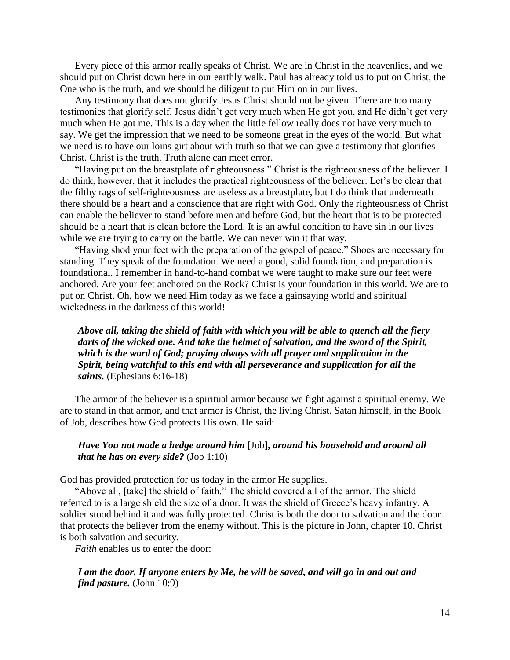Every piece of this armor really speaks of Christ. We are in Christ in the heavenlies, and we should put on Christ down here in our earthly walk. Paul has already told us to put on Christ, the One who is the truth, and we should be diligent to put Him on in our lives.

Any testimony that does not glorify Jesus Christ should not be given. There are too many testimonies that glorify self. Jesus didn't get very much when He got you, and He didn't get very much when He got me. This is a day when the little fellow really does not have very much to say. We get the impression that we need to be someone great in the eyes of the world. But what we need is to have our loins girt about with truth so that we can give a testimony that glorifies Christ. Christ is the truth. Truth alone can meet error.

"Having put on the breastplate of righteousness." Christ is the righteousness of the believer. I do think, however, that it includes the practical righteousness of the believer. Let's be clear that the filthy rags of self-righteousness are useless as a breastplate, but I do think that underneath there should be a heart and a conscience that are right with God. Only the righteousness of Christ can enable the believer to stand before men and before God, but the heart that is to be protected should be a heart that is clean before the Lord. It is an awful condition to have sin in our lives while we are trying to carry on the battle. We can never win it that way.

"Having shod your feet with the preparation of the gospel of peace." Shoes are necessary for standing. They speak of the foundation. We need a good, solid foundation, and preparation is foundational. I remember in hand-to-hand combat we were taught to make sure our feet were anchored. Are your feet anchored on the Rock? Christ is your foundation in this world. We are to put on Christ. Oh, how we need Him today as we face a gainsaying world and spiritual wickedness in the darkness of this world!

*Above all, taking the shield of faith with which you will be able to quench all the fiery darts of the wicked one. And take the helmet of salvation, and the sword of the Spirit, which is the word of God; praying always with all prayer and supplication in the Spirit, being watchful to this end with all perseverance and supplication for all the saints.* (Ephesians 6:16-18)

The armor of the believer is a spiritual armor because we fight against a spiritual enemy. We are to stand in that armor, and that armor is Christ, the living Christ. Satan himself, in the Book of Job, describes how God protects His own. He said:

# *Have You not made a hedge around him* [Job]**,** *around his household and around all that he has on every side?* (Job 1:10)

God has provided protection for us today in the armor He supplies.

"Above all, [take] the shield of faith." The shield covered all of the armor. The shield referred to is a large shield the size of a door. It was the shield of Greece's heavy infantry. A soldier stood behind it and was fully protected. Christ is both the door to salvation and the door that protects the believer from the enemy without. This is the picture in John, chapter 10. Christ is both salvation and security.

*Faith* enables us to enter the door:

*I am the door. If anyone enters by Me, he will be saved, and will go in and out and find pasture.* (John 10:9)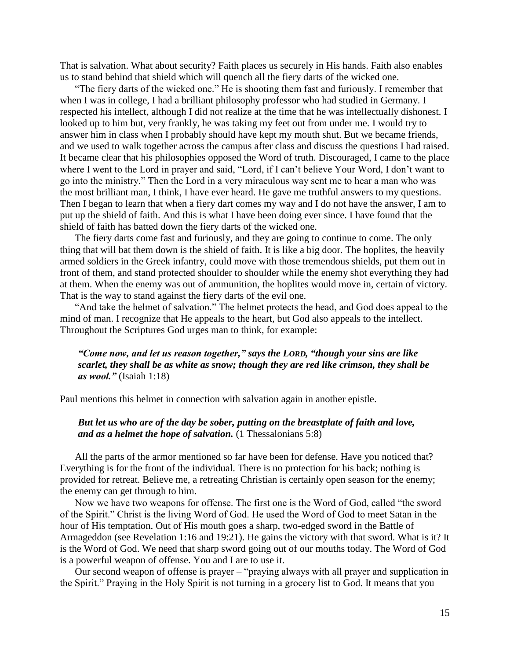That is salvation. What about security? Faith places us securely in His hands. Faith also enables us to stand behind that shield which will quench all the fiery darts of the wicked one.

"The fiery darts of the wicked one." He is shooting them fast and furiously. I remember that when I was in college, I had a brilliant philosophy professor who had studied in Germany. I respected his intellect, although I did not realize at the time that he was intellectually dishonest. I looked up to him but, very frankly, he was taking my feet out from under me. I would try to answer him in class when I probably should have kept my mouth shut. But we became friends, and we used to walk together across the campus after class and discuss the questions I had raised. It became clear that his philosophies opposed the Word of truth. Discouraged, I came to the place where I went to the Lord in prayer and said, "Lord, if I can't believe Your Word, I don't want to go into the ministry." Then the Lord in a very miraculous way sent me to hear a man who was the most brilliant man, I think, I have ever heard. He gave me truthful answers to my questions. Then I began to learn that when a fiery dart comes my way and I do not have the answer, I am to put up the shield of faith. And this is what I have been doing ever since. I have found that the shield of faith has batted down the fiery darts of the wicked one.

The fiery darts come fast and furiously, and they are going to continue to come. The only thing that will bat them down is the shield of faith. It is like a big door. The hoplites, the heavily armed soldiers in the Greek infantry, could move with those tremendous shields, put them out in front of them, and stand protected shoulder to shoulder while the enemy shot everything they had at them. When the enemy was out of ammunition, the hoplites would move in, certain of victory. That is the way to stand against the fiery darts of the evil one.

"And take the helmet of salvation." The helmet protects the head, and God does appeal to the mind of man. I recognize that He appeals to the heart, but God also appeals to the intellect. Throughout the Scriptures God urges man to think, for example:

# *"Come now, and let us reason together," says the LORD, "though your sins are like scarlet, they shall be as white as snow; though they are red like crimson, they shall be as wool."* (Isaiah 1:18)

Paul mentions this helmet in connection with salvation again in another epistle.

# *But let us who are of the day be sober, putting on the breastplate of faith and love, and as a helmet the hope of salvation.* (1 Thessalonians 5:8)

All the parts of the armor mentioned so far have been for defense. Have you noticed that? Everything is for the front of the individual. There is no protection for his back; nothing is provided for retreat. Believe me, a retreating Christian is certainly open season for the enemy; the enemy can get through to him.

Now we have two weapons for offense. The first one is the Word of God, called "the sword of the Spirit." Christ is the living Word of God. He used the Word of God to meet Satan in the hour of His temptation. Out of His mouth goes a sharp, two-edged sword in the Battle of Armageddon (see Revelation 1:16 and 19:21). He gains the victory with that sword. What is it? It is the Word of God. We need that sharp sword going out of our mouths today. The Word of God is a powerful weapon of offense. You and I are to use it.

Our second weapon of offense is prayer – "praying always with all prayer and supplication in the Spirit." Praying in the Holy Spirit is not turning in a grocery list to God. It means that you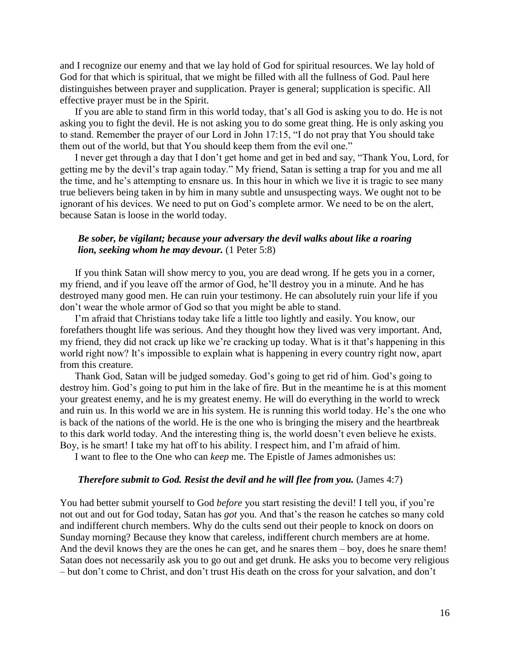and I recognize our enemy and that we lay hold of God for spiritual resources. We lay hold of God for that which is spiritual, that we might be filled with all the fullness of God. Paul here distinguishes between prayer and supplication. Prayer is general; supplication is specific. All effective prayer must be in the Spirit.

If you are able to stand firm in this world today, that's all God is asking you to do. He is not asking you to fight the devil. He is not asking you to do some great thing. He is only asking you to stand. Remember the prayer of our Lord in John 17:15, "I do not pray that You should take them out of the world, but that You should keep them from the evil one."

I never get through a day that I don't get home and get in bed and say, "Thank You, Lord, for getting me by the devil's trap again today." My friend, Satan is setting a trap for you and me all the time, and he's attempting to ensnare us. In this hour in which we live it is tragic to see many true believers being taken in by him in many subtle and unsuspecting ways. We ought not to be ignorant of his devices. We need to put on God's complete armor. We need to be on the alert, because Satan is loose in the world today.

## *Be sober, be vigilant; because your adversary the devil walks about like a roaring lion, seeking whom he may devour.* (1 Peter 5:8)

If you think Satan will show mercy to you, you are dead wrong. If he gets you in a corner, my friend, and if you leave off the armor of God, he'll destroy you in a minute. And he has destroyed many good men. He can ruin your testimony. He can absolutely ruin your life if you don't wear the whole armor of God so that you might be able to stand.

I'm afraid that Christians today take life a little too lightly and easily. You know, our forefathers thought life was serious. And they thought how they lived was very important. And, my friend, they did not crack up like we're cracking up today. What is it that's happening in this world right now? It's impossible to explain what is happening in every country right now, apart from this creature.

Thank God, Satan will be judged someday. God's going to get rid of him. God's going to destroy him. God's going to put him in the lake of fire. But in the meantime he is at this moment your greatest enemy, and he is my greatest enemy. He will do everything in the world to wreck and ruin us. In this world we are in his system. He is running this world today. He's the one who is back of the nations of the world. He is the one who is bringing the misery and the heartbreak to this dark world today. And the interesting thing is, the world doesn't even believe he exists. Boy, is he smart! I take my hat off to his ability. I respect him, and I'm afraid of him.

I want to flee to the One who can *keep* me. The Epistle of James admonishes us:

#### *Therefore submit to God. Resist the devil and he will flee from you.* (James 4:7)

You had better submit yourself to God *before* you start resisting the devil! I tell you, if you're not out and out for God today, Satan has *got* you. And that's the reason he catches so many cold and indifferent church members. Why do the cults send out their people to knock on doors on Sunday morning? Because they know that careless, indifferent church members are at home. And the devil knows they are the ones he can get, and he snares them – boy, does he snare them! Satan does not necessarily ask you to go out and get drunk. He asks you to become very religious – but don't come to Christ, and don't trust His death on the cross for your salvation, and don't